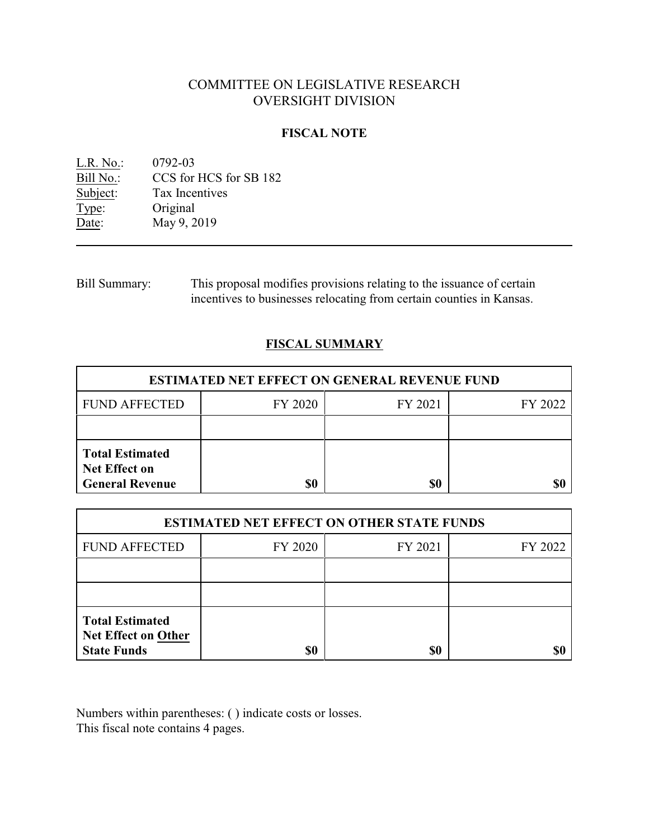# COMMITTEE ON LEGISLATIVE RESEARCH OVERSIGHT DIVISION

# **FISCAL NOTE**

<u>L.R. No.</u>: 0792-03<br>Bill No.: CCS for Bill No.: CCS for HCS for SB 182<br>Subject: Tax Incentives Tax Incentives Type: Original Date: May 9, 2019

Bill Summary: This proposal modifies provisions relating to the issuance of certain incentives to businesses relocating from certain counties in Kansas.

### **FISCAL SUMMARY**

| <b>ESTIMATED NET EFFECT ON GENERAL REVENUE FUND</b>                      |         |         |         |  |
|--------------------------------------------------------------------------|---------|---------|---------|--|
| <b>FUND AFFECTED</b>                                                     | FY 2020 | FY 2021 | FY 2022 |  |
|                                                                          |         |         |         |  |
| <b>Total Estimated</b><br><b>Net Effect on</b><br><b>General Revenue</b> | \$0     | \$0     |         |  |

| <b>ESTIMATED NET EFFECT ON OTHER STATE FUNDS</b>                           |         |         |         |  |
|----------------------------------------------------------------------------|---------|---------|---------|--|
| <b>FUND AFFECTED</b>                                                       | FY 2020 | FY 2021 | FY 2022 |  |
|                                                                            |         |         |         |  |
|                                                                            |         |         |         |  |
| <b>Total Estimated</b><br><b>Net Effect on Other</b><br><b>State Funds</b> | \$0     | \$0     |         |  |

Numbers within parentheses: ( ) indicate costs or losses. This fiscal note contains 4 pages.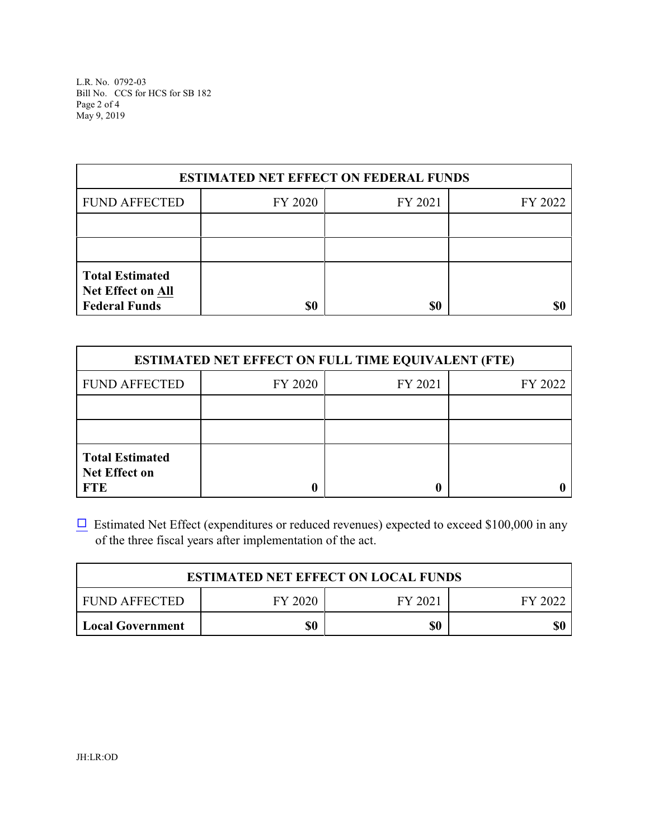L.R. No. 0792-03 Bill No. CCS for HCS for SB 182 Page 2 of 4 May 9, 2019

| <b>ESTIMATED NET EFFECT ON FEDERAL FUNDS</b>                               |         |         |         |  |
|----------------------------------------------------------------------------|---------|---------|---------|--|
| <b>FUND AFFECTED</b>                                                       | FY 2020 | FY 2021 | FY 2022 |  |
|                                                                            |         |         |         |  |
|                                                                            |         |         |         |  |
| <b>Total Estimated</b><br><b>Net Effect on All</b><br><b>Federal Funds</b> | \$0     | \$0     |         |  |

| <b>ESTIMATED NET EFFECT ON FULL TIME EQUIVALENT (FTE)</b>    |         |         |         |  |
|--------------------------------------------------------------|---------|---------|---------|--|
| <b>FUND AFFECTED</b>                                         | FY 2020 | FY 2021 | FY 2022 |  |
|                                                              |         |         |         |  |
|                                                              |         |         |         |  |
| <b>Total Estimated</b><br><b>Net Effect on</b><br><b>FTE</b> |         |         |         |  |

 $\Box$  Estimated Net Effect (expenditures or reduced revenues) expected to exceed \$100,000 in any of the three fiscal years after implementation of the act.

| <b>ESTIMATED NET EFFECT ON LOCAL FUNDS</b> |         |         |         |
|--------------------------------------------|---------|---------|---------|
| FUND AFFECTED                              | FY 2020 | FY 2021 | FY 2022 |
| Local Government                           | \$0     | \$0     |         |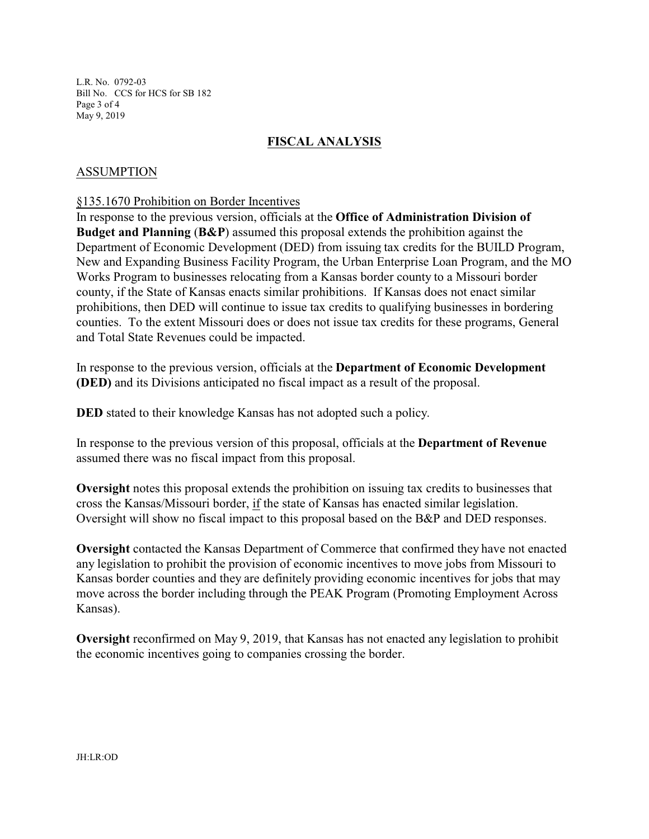L.R. No. 0792-03 Bill No. CCS for HCS for SB 182 Page 3 of 4 May 9, 2019

# **FISCAL ANALYSIS**

### ASSUMPTION

#### §135.1670 Prohibition on Border Incentives

In response to the previous version, officials at the **Office of Administration Division of Budget and Planning** (**B&P**) assumed this proposal extends the prohibition against the Department of Economic Development (DED) from issuing tax credits for the BUILD Program, New and Expanding Business Facility Program, the Urban Enterprise Loan Program, and the MO Works Program to businesses relocating from a Kansas border county to a Missouri border county, if the State of Kansas enacts similar prohibitions. If Kansas does not enact similar prohibitions, then DED will continue to issue tax credits to qualifying businesses in bordering counties. To the extent Missouri does or does not issue tax credits for these programs, General and Total State Revenues could be impacted.

In response to the previous version, officials at the **Department of Economic Development (DED)** and its Divisions anticipated no fiscal impact as a result of the proposal.

**DED** stated to their knowledge Kansas has not adopted such a policy.

In response to the previous version of this proposal, officials at the **Department of Revenue** assumed there was no fiscal impact from this proposal.

**Oversight** notes this proposal extends the prohibition on issuing tax credits to businesses that cross the Kansas/Missouri border, if the state of Kansas has enacted similar legislation. Oversight will show no fiscal impact to this proposal based on the B&P and DED responses.

**Oversight** contacted the Kansas Department of Commerce that confirmed they have not enacted any legislation to prohibit the provision of economic incentives to move jobs from Missouri to Kansas border counties and they are definitely providing economic incentives for jobs that may move across the border including through the PEAK Program (Promoting Employment Across Kansas).

**Oversight** reconfirmed on May 9, 2019, that Kansas has not enacted any legislation to prohibit the economic incentives going to companies crossing the border.